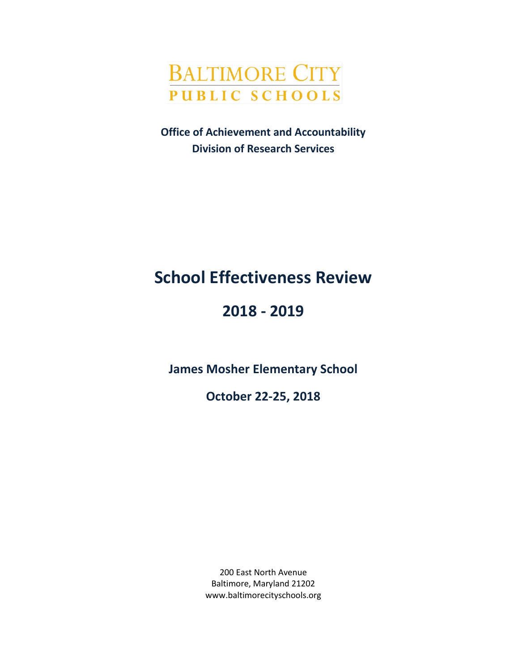

**Office of Achievement and Accountability Division of Research Services**

# **School Effectiveness Review**

# **2018 - 2019**

**James Mosher Elementary School**

**October 22-25, 2018**

200 East North Avenue Baltimore, Maryland 21202 www.baltimorecityschools.org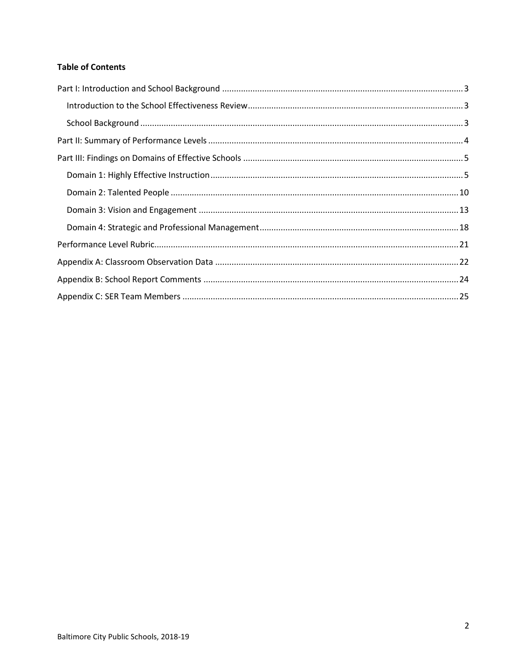### **Table of Contents**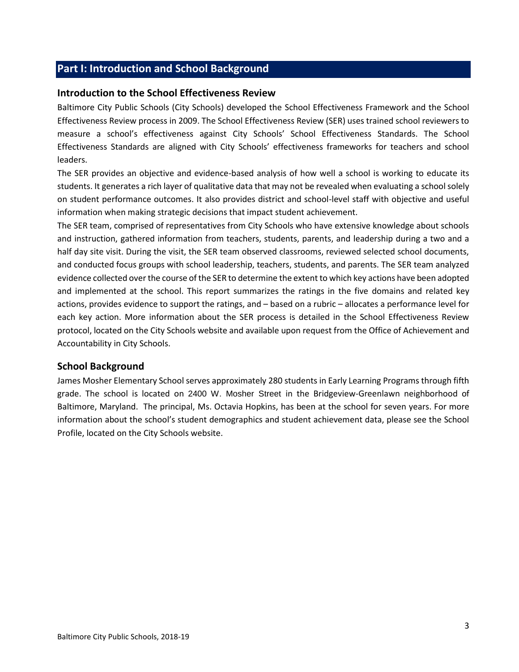## <span id="page-2-0"></span>**Part I: Introduction and School Background**

#### <span id="page-2-1"></span>**Introduction to the School Effectiveness Review**

Baltimore City Public Schools (City Schools) developed the School Effectiveness Framework and the School Effectiveness Review process in 2009. The School Effectiveness Review (SER) uses trained school reviewers to measure a school's effectiveness against City Schools' School Effectiveness Standards. The School Effectiveness Standards are aligned with City Schools' effectiveness frameworks for teachers and school leaders.

The SER provides an objective and evidence-based analysis of how well a school is working to educate its students. It generates a rich layer of qualitative data that may not be revealed when evaluating a school solely on student performance outcomes. It also provides district and school-level staff with objective and useful information when making strategic decisions that impact student achievement.

The SER team, comprised of representatives from City Schools who have extensive knowledge about schools and instruction, gathered information from teachers, students, parents, and leadership during a two and a half day site visit. During the visit, the SER team observed classrooms, reviewed selected school documents, and conducted focus groups with school leadership, teachers, students, and parents. The SER team analyzed evidence collected over the course of the SER to determine the extent to which key actions have been adopted and implemented at the school. This report summarizes the ratings in the five domains and related key actions, provides evidence to support the ratings, and – based on a rubric – allocates a performance level for each key action. More information about the SER process is detailed in the School Effectiveness Review protocol, located on the City Schools website and available upon request from the Office of Achievement and Accountability in City Schools.

#### <span id="page-2-2"></span>**School Background**

James Mosher Elementary School serves approximately 280 students in Early Learning Programs through fifth grade. The school is located on 2400 W. Mosher Street in the Bridgeview-Greenlawn neighborhood of Baltimore, Maryland. The principal, Ms. Octavia Hopkins, has been at the school for seven years. For more information about the school's student demographics and student achievement data, please see the School Profile, located on the City Schools website.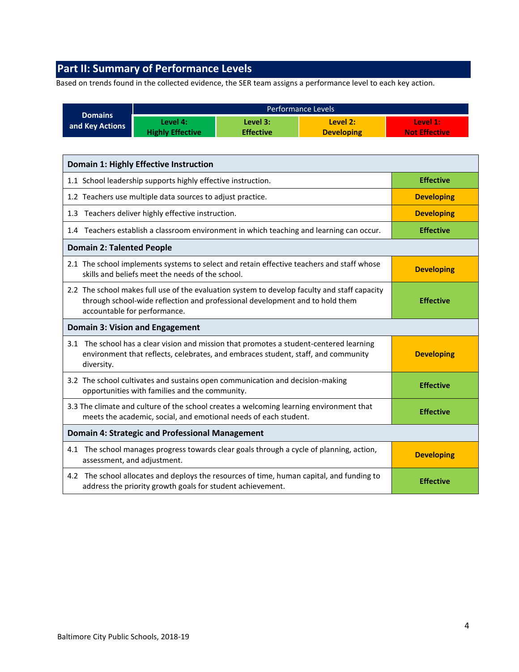# <span id="page-3-0"></span>**Part II: Summary of Performance Levels**

Based on trends found in the collected evidence, the SER team assigns a performance level to each key action.

|                                                                                          | <b>Domains</b>                                                                                                                                                                                                                   |                                                                                                                                                                              |                              |                                                                                           |                                  |
|------------------------------------------------------------------------------------------|----------------------------------------------------------------------------------------------------------------------------------------------------------------------------------------------------------------------------------|------------------------------------------------------------------------------------------------------------------------------------------------------------------------------|------------------------------|-------------------------------------------------------------------------------------------|----------------------------------|
| and Key Actions                                                                          |                                                                                                                                                                                                                                  | Level 4:<br><b>Highly Effective</b>                                                                                                                                          | Level 3:<br><b>Effective</b> | Level 2:<br><b>Developing</b>                                                             | Level 1:<br><b>Not Effective</b> |
|                                                                                          |                                                                                                                                                                                                                                  | <b>Domain 1: Highly Effective Instruction</b>                                                                                                                                |                              |                                                                                           |                                  |
|                                                                                          |                                                                                                                                                                                                                                  |                                                                                                                                                                              |                              |                                                                                           |                                  |
|                                                                                          |                                                                                                                                                                                                                                  | 1.1 School leadership supports highly effective instruction.                                                                                                                 |                              |                                                                                           | <b>Effective</b>                 |
|                                                                                          | 1.2 Teachers use multiple data sources to adjust practice.<br><b>Developing</b>                                                                                                                                                  |                                                                                                                                                                              |                              |                                                                                           |                                  |
|                                                                                          | 1.3 Teachers deliver highly effective instruction.<br><b>Developing</b>                                                                                                                                                          |                                                                                                                                                                              |                              |                                                                                           |                                  |
| 1.4 Teachers establish a classroom environment in which teaching and learning can occur. |                                                                                                                                                                                                                                  |                                                                                                                                                                              | <b>Effective</b>             |                                                                                           |                                  |
|                                                                                          | <b>Domain 2: Talented People</b>                                                                                                                                                                                                 |                                                                                                                                                                              |                              |                                                                                           |                                  |
|                                                                                          |                                                                                                                                                                                                                                  | skills and beliefs meet the needs of the school.                                                                                                                             |                              | 2.1 The school implements systems to select and retain effective teachers and staff whose | <b>Developing</b>                |
|                                                                                          | 2.2 The school makes full use of the evaluation system to develop faculty and staff capacity<br>through school-wide reflection and professional development and to hold them<br><b>Effective</b><br>accountable for performance. |                                                                                                                                                                              |                              |                                                                                           |                                  |
|                                                                                          |                                                                                                                                                                                                                                  | <b>Domain 3: Vision and Engagement</b>                                                                                                                                       |                              |                                                                                           |                                  |
|                                                                                          | diversity.                                                                                                                                                                                                                       | 3.1 The school has a clear vision and mission that promotes a student-centered learning<br>environment that reflects, celebrates, and embraces student, staff, and community |                              |                                                                                           | <b>Developing</b>                |
|                                                                                          |                                                                                                                                                                                                                                  | 3.2 The school cultivates and sustains open communication and decision-making<br>opportunities with families and the community.                                              |                              |                                                                                           | <b>Effective</b>                 |
|                                                                                          |                                                                                                                                                                                                                                  | 3.3 The climate and culture of the school creates a welcoming learning environment that<br>meets the academic, social, and emotional needs of each student.                  |                              |                                                                                           | <b>Effective</b>                 |
|                                                                                          |                                                                                                                                                                                                                                  | <b>Domain 4: Strategic and Professional Management</b>                                                                                                                       |                              |                                                                                           |                                  |
|                                                                                          |                                                                                                                                                                                                                                  | 4.1 The school manages progress towards clear goals through a cycle of planning, action,<br>assessment, and adjustment.                                                      |                              |                                                                                           | <b>Developing</b>                |
|                                                                                          | 4.2 The school allocates and deploys the resources of time, human capital, and funding to<br>address the priority growth goals for student achievement.                                                                          |                                                                                                                                                                              |                              | <b>Effective</b>                                                                          |                                  |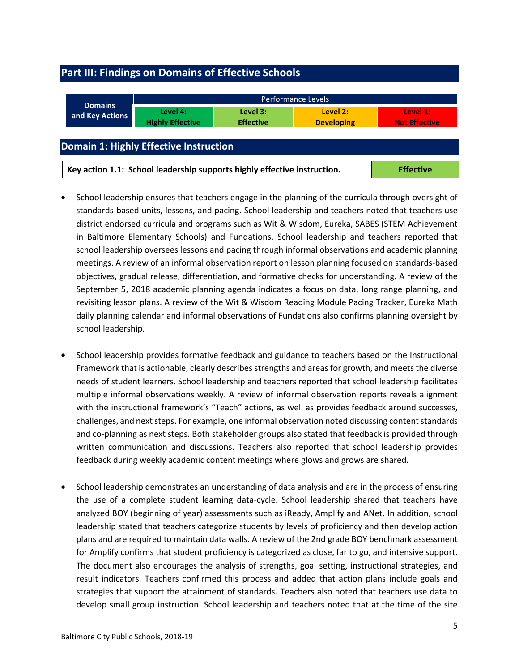# <span id="page-4-0"></span>**Part III: Findings on Domains of Effective Schools**

<span id="page-4-1"></span>

| <b>Domains</b>                                                                               | Performance Levels                  |                              |                               |                                  |  |  |
|----------------------------------------------------------------------------------------------|-------------------------------------|------------------------------|-------------------------------|----------------------------------|--|--|
| and Key Actions                                                                              | Level 4:<br><b>Highly Effective</b> | Level 3:<br><b>Effective</b> | Level 2:<br><b>Developing</b> | Level 1:<br><b>Not Effective</b> |  |  |
| <b>Domain 1: Highly Effective Instruction</b>                                                |                                     |                              |                               |                                  |  |  |
| Key action 1.1: School leadership supports highly effective instruction.<br><b>Effective</b> |                                     |                              |                               |                                  |  |  |

- School leadership ensures that teachers engage in the planning of the curricula through oversight of standards-based units, lessons, and pacing. School leadership and teachers noted that teachers use district endorsed curricula and programs such as Wit & Wisdom, Eureka, SABES (STEM Achievement in Baltimore Elementary Schools) and Fundations. School leadership and teachers reported that school leadership oversees lessons and pacing through informal observations and academic planning meetings. A review of an informal observation report on lesson planning focused on standards-based objectives, gradual release, differentiation, and formative checks for understanding. A review of the September 5, 2018 academic planning agenda indicates a focus on data, long range planning, and revisiting lesson plans. A review of the Wit & Wisdom Reading Module Pacing Tracker, Eureka Math daily planning calendar and informal observations of Fundations also confirms planning oversight by school leadership.
- School leadership provides formative feedback and guidance to teachers based on the Instructional Framework that is actionable, clearly describes strengths and areas for growth, and meets the diverse needs of student learners. School leadership and teachers reported that school leadership facilitates multiple informal observations weekly. A review of informal observation reports reveals alignment with the instructional framework's "Teach" actions, as well as provides feedback around successes, challenges, and next steps. For example, one informal observation noted discussing content standards and co-planning as next steps. Both stakeholder groups also stated that feedback is provided through written communication and discussions. Teachers also reported that school leadership provides feedback during weekly academic content meetings where glows and grows are shared.
- School leadership demonstrates an understanding of data analysis and are in the process of ensuring the use of a complete student learning data-cycle. School leadership shared that teachers have analyzed BOY (beginning of year) assessments such as iReady, Amplify and ANet. In addition, school leadership stated that teachers categorize students by levels of proficiency and then develop action plans and are required to maintain data walls. A review of the 2nd grade BOY benchmark assessment for Amplify confirms that student proficiency is categorized as close, far to go, and intensive support. The document also encourages the analysis of strengths, goal setting, instructional strategies, and result indicators. Teachers confirmed this process and added that action plans include goals and strategies that support the attainment of standards. Teachers also noted that teachers use data to develop small group instruction. School leadership and teachers noted that at the time of the site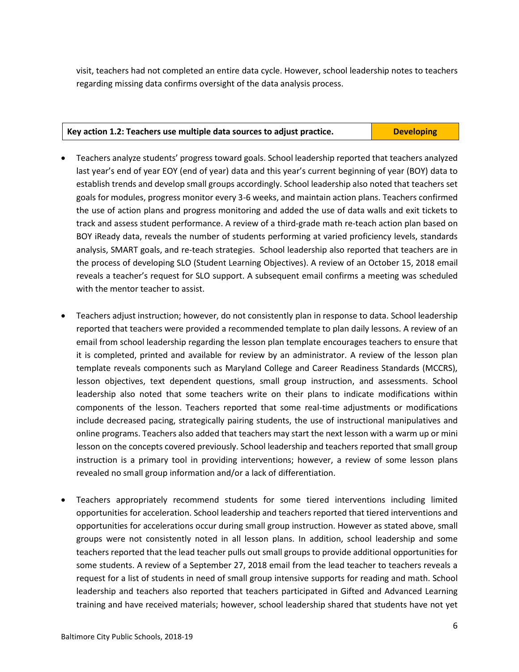visit, teachers had not completed an entire data cycle. However, school leadership notes to teachers regarding missing data confirms oversight of the data analysis process.

#### **Key action 1.2: Teachers use multiple data sources to adjust practice. Developing**

- Teachers analyze students' progress toward goals. School leadership reported that teachers analyzed last year's end of year EOY (end of year) data and this year's current beginning of year (BOY) data to establish trends and develop small groups accordingly. School leadership also noted that teachers set goals for modules, progress monitor every 3-6 weeks, and maintain action plans. Teachers confirmed the use of action plans and progress monitoring and added the use of data walls and exit tickets to track and assess student performance. A review of a third-grade math re-teach action plan based on BOY iReady data, reveals the number of students performing at varied proficiency levels, standards analysis, SMART goals, and re-teach strategies. School leadership also reported that teachers are in the process of developing SLO (Student Learning Objectives). A review of an October 15, 2018 email reveals a teacher's request for SLO support. A subsequent email confirms a meeting was scheduled with the mentor teacher to assist.
- Teachers adjust instruction; however, do not consistently plan in response to data. School leadership reported that teachers were provided a recommended template to plan daily lessons. A review of an email from school leadership regarding the lesson plan template encourages teachers to ensure that it is completed, printed and available for review by an administrator. A review of the lesson plan template reveals components such as Maryland College and Career Readiness Standards (MCCRS), lesson objectives, text dependent questions, small group instruction, and assessments. School leadership also noted that some teachers write on their plans to indicate modifications within components of the lesson. Teachers reported that some real-time adjustments or modifications include decreased pacing, strategically pairing students, the use of instructional manipulatives and online programs. Teachers also added that teachers may start the next lesson with a warm up or mini lesson on the concepts covered previously. School leadership and teachers reported that small group instruction is a primary tool in providing interventions; however, a review of some lesson plans revealed no small group information and/or a lack of differentiation.
- Teachers appropriately recommend students for some tiered interventions including limited opportunities for acceleration. School leadership and teachers reported that tiered interventions and opportunities for accelerations occur during small group instruction. However as stated above, small groups were not consistently noted in all lesson plans. In addition, school leadership and some teachers reported that the lead teacher pulls out small groups to provide additional opportunities for some students. A review of a September 27, 2018 email from the lead teacher to teachers reveals a request for a list of students in need of small group intensive supports for reading and math. School leadership and teachers also reported that teachers participated in Gifted and Advanced Learning training and have received materials; however, school leadership shared that students have not yet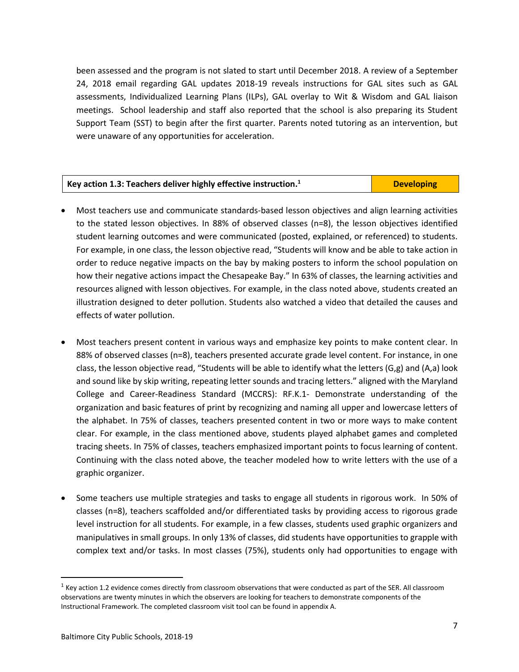been assessed and the program is not slated to start until December 2018. A review of a September 24, 2018 email regarding GAL updates 2018-19 reveals instructions for GAL sites such as GAL assessments, Individualized Learning Plans (ILPs), GAL overlay to Wit & Wisdom and GAL liaison meetings. School leadership and staff also reported that the school is also preparing its Student Support Team (SST) to begin after the first quarter. Parents noted tutoring as an intervention, but were unaware of any opportunities for acceleration.

| Key action 1.3: Teachers deliver highly effective instruction. <sup>1</sup> | <b>Developing</b> |
|-----------------------------------------------------------------------------|-------------------|
|                                                                             |                   |

- Most teachers use and communicate standards-based lesson objectives and align learning activities to the stated lesson objectives. In 88% of observed classes (n=8), the lesson objectives identified student learning outcomes and were communicated (posted, explained, or referenced) to students. For example, in one class, the lesson objective read, "Students will know and be able to take action in order to reduce negative impacts on the bay by making posters to inform the school population on how their negative actions impact the Chesapeake Bay." In 63% of classes, the learning activities and resources aligned with lesson objectives. For example, in the class noted above, students created an illustration designed to deter pollution. Students also watched a video that detailed the causes and effects of water pollution.
- Most teachers present content in various ways and emphasize key points to make content clear. In 88% of observed classes (n=8), teachers presented accurate grade level content. For instance, in one class, the lesson objective read, "Students will be able to identify what the letters (G,g) and (A,a) look and sound like by skip writing, repeating letter sounds and tracing letters." aligned with the Maryland College and Career-Readiness Standard (MCCRS): RF.K.1- Demonstrate understanding of the organization and basic features of print by recognizing and naming all upper and lowercase letters of the alphabet. In 75% of classes, teachers presented content in two or more ways to make content clear. For example, in the class mentioned above, students played alphabet games and completed tracing sheets. In 75% of classes, teachers emphasized important points to focus learning of content. Continuing with the class noted above, the teacher modeled how to write letters with the use of a graphic organizer.
- Some teachers use multiple strategies and tasks to engage all students in rigorous work. In 50% of classes (n=8), teachers scaffolded and/or differentiated tasks by providing access to rigorous grade level instruction for all students. For example, in a few classes, students used graphic organizers and manipulatives in small groups. In only 13% of classes, did students have opportunities to grapple with complex text and/or tasks. In most classes (75%), students only had opportunities to engage with

l

 $1$  Key action 1.2 evidence comes directly from classroom observations that were conducted as part of the SER. All classroom observations are twenty minutes in which the observers are looking for teachers to demonstrate components of the Instructional Framework. The completed classroom visit tool can be found in appendix A.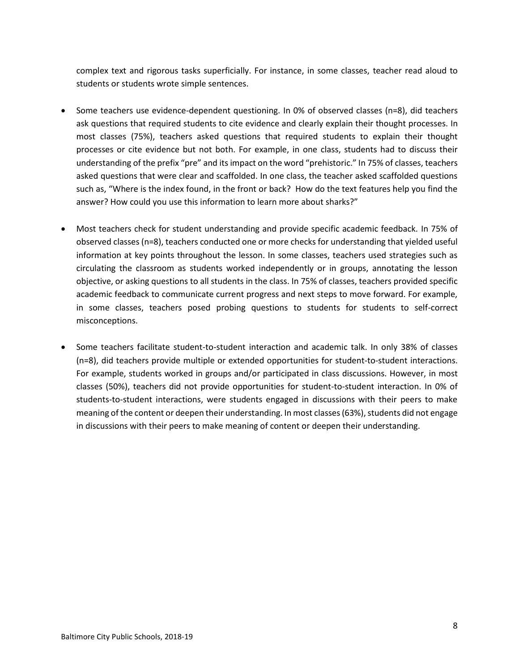complex text and rigorous tasks superficially. For instance, in some classes, teacher read aloud to students or students wrote simple sentences.

- Some teachers use evidence-dependent questioning. In 0% of observed classes (n=8), did teachers ask questions that required students to cite evidence and clearly explain their thought processes. In most classes (75%), teachers asked questions that required students to explain their thought processes or cite evidence but not both. For example, in one class, students had to discuss their understanding of the prefix "pre" and its impact on the word "prehistoric." In 75% of classes, teachers asked questions that were clear and scaffolded. In one class, the teacher asked scaffolded questions such as, "Where is the index found, in the front or back? How do the text features help you find the answer? How could you use this information to learn more about sharks?"
- Most teachers check for student understanding and provide specific academic feedback. In 75% of observed classes (n=8), teachers conducted one or more checks for understanding that yielded useful information at key points throughout the lesson. In some classes, teachers used strategies such as circulating the classroom as students worked independently or in groups, annotating the lesson objective, or asking questions to all students in the class. In 75% of classes, teachers provided specific academic feedback to communicate current progress and next steps to move forward. For example, in some classes, teachers posed probing questions to students for students to self-correct misconceptions.
- Some teachers facilitate student-to-student interaction and academic talk. In only 38% of classes (n=8), did teachers provide multiple or extended opportunities for student-to-student interactions. For example, students worked in groups and/or participated in class discussions. However, in most classes (50%), teachers did not provide opportunities for student-to-student interaction. In 0% of students-to-student interactions, were students engaged in discussions with their peers to make meaning of the content or deepen their understanding. In most classes(63%), students did not engage in discussions with their peers to make meaning of content or deepen their understanding.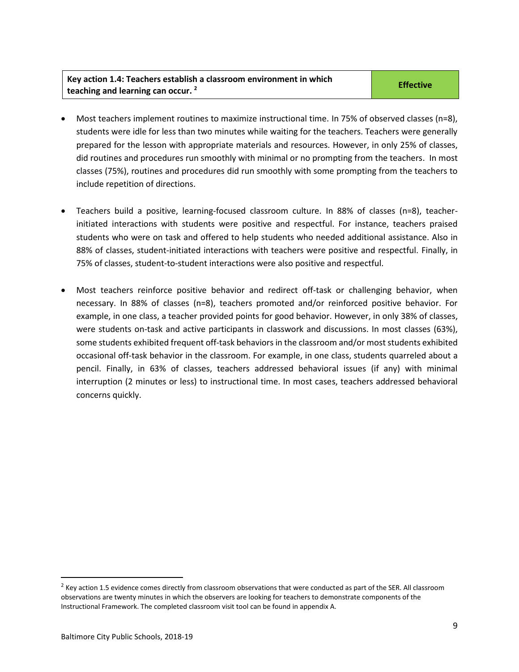#### **Key action 1.4: Teachers establish a classroom environment in which teaching and learning can occur. <sup>2</sup>**

- Most teachers implement routines to maximize instructional time. In 75% of observed classes (n=8), students were idle for less than two minutes while waiting for the teachers. Teachers were generally prepared for the lesson with appropriate materials and resources. However, in only 25% of classes, did routines and procedures run smoothly with minimal or no prompting from the teachers. In most classes (75%), routines and procedures did run smoothly with some prompting from the teachers to include repetition of directions.
- Teachers build a positive, learning-focused classroom culture. In 88% of classes (n=8), teacherinitiated interactions with students were positive and respectful. For instance, teachers praised students who were on task and offered to help students who needed additional assistance. Also in 88% of classes, student-initiated interactions with teachers were positive and respectful. Finally, in 75% of classes, student-to-student interactions were also positive and respectful.
- Most teachers reinforce positive behavior and redirect off-task or challenging behavior, when necessary. In 88% of classes (n=8), teachers promoted and/or reinforced positive behavior. For example, in one class, a teacher provided points for good behavior. However, in only 38% of classes, were students on-task and active participants in classwork and discussions. In most classes (63%), some students exhibited frequent off-task behaviors in the classroom and/or most students exhibited occasional off-task behavior in the classroom. For example, in one class, students quarreled about a pencil. Finally, in 63% of classes, teachers addressed behavioral issues (if any) with minimal interruption (2 minutes or less) to instructional time. In most cases, teachers addressed behavioral concerns quickly.

l

 $<sup>2</sup>$  Key action 1.5 evidence comes directly from classroom observations that were conducted as part of the SER. All classroom</sup> observations are twenty minutes in which the observers are looking for teachers to demonstrate components of the Instructional Framework. The completed classroom visit tool can be found in appendix A.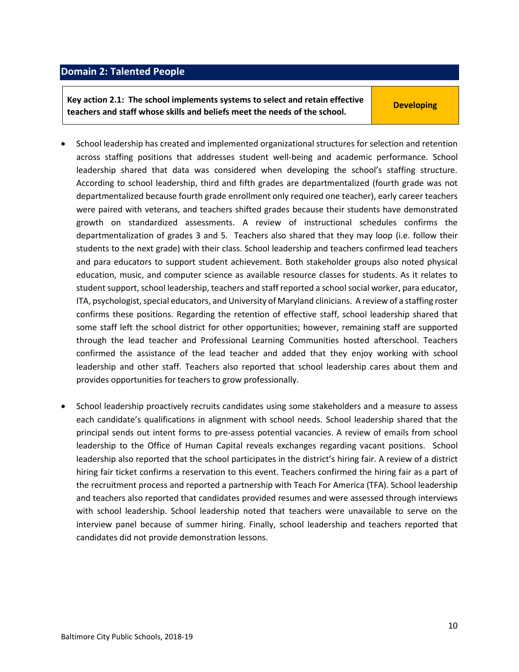#### <span id="page-9-0"></span>**Domain 2: Talented People**

**Key action 2.1: The school implements systems to select and retain effective teachers and staff whose skills and beliefs meet the needs of the school.**

**Developing**

- School leadership has created and implemented organizational structures for selection and retention across staffing positions that addresses student well-being and academic performance. School leadership shared that data was considered when developing the school's staffing structure. According to school leadership, third and fifth grades are departmentalized (fourth grade was not departmentalized because fourth grade enrollment only required one teacher), early career teachers were paired with veterans, and teachers shifted grades because their students have demonstrated growth on standardized assessments. A review of instructional schedules confirms the departmentalization of grades 3 and 5. Teachers also shared that they may loop (i.e. follow their students to the next grade) with their class. School leadership and teachers confirmed lead teachers and para educators to support student achievement. Both stakeholder groups also noted physical education, music, and computer science as available resource classes for students. As it relates to student support, school leadership, teachers and staff reported a school social worker, para educator, ITA, psychologist, special educators, and University of Maryland clinicians. A review of a staffing roster confirms these positions. Regarding the retention of effective staff, school leadership shared that some staff left the school district for other opportunities; however, remaining staff are supported through the lead teacher and Professional Learning Communities hosted afterschool. Teachers confirmed the assistance of the lead teacher and added that they enjoy working with school leadership and other staff. Teachers also reported that school leadership cares about them and provides opportunities for teachers to grow professionally.
- School leadership proactively recruits candidates using some stakeholders and a measure to assess each candidate's qualifications in alignment with school needs. School leadership shared that the principal sends out intent forms to pre-assess potential vacancies. A review of emails from school leadership to the Office of Human Capital reveals exchanges regarding vacant positions. School leadership also reported that the school participates in the district's hiring fair. A review of a district hiring fair ticket confirms a reservation to this event. Teachers confirmed the hiring fair as a part of the recruitment process and reported a partnership with Teach For America (TFA). School leadership and teachers also reported that candidates provided resumes and were assessed through interviews with school leadership. School leadership noted that teachers were unavailable to serve on the interview panel because of summer hiring. Finally, school leadership and teachers reported that candidates did not provide demonstration lessons.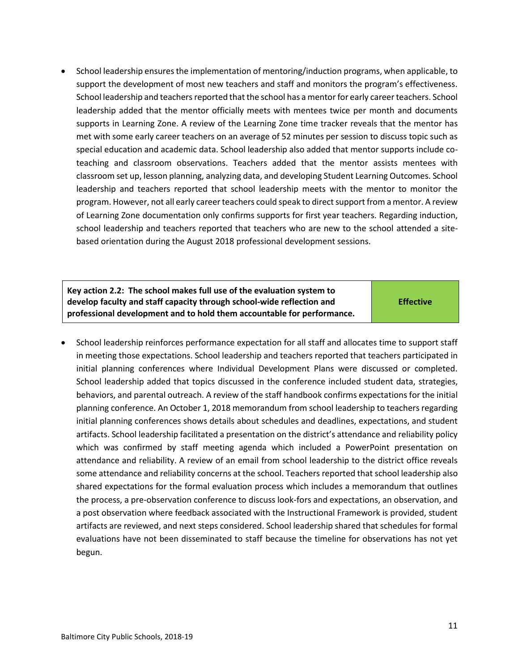• School leadership ensures the implementation of mentoring/induction programs, when applicable, to support the development of most new teachers and staff and monitors the program's effectiveness. School leadership and teachers reported that the school has a mentor for early career teachers. School leadership added that the mentor officially meets with mentees twice per month and documents supports in Learning Zone. A review of the Learning Zone time tracker reveals that the mentor has met with some early career teachers on an average of 52 minutes per session to discuss topic such as special education and academic data. School leadership also added that mentor supports include coteaching and classroom observations. Teachers added that the mentor assists mentees with classroom set up, lesson planning, analyzing data, and developing Student Learning Outcomes. School leadership and teachers reported that school leadership meets with the mentor to monitor the program. However, not all early career teachers could speak to direct support from a mentor. A review of Learning Zone documentation only confirms supports for first year teachers. Regarding induction, school leadership and teachers reported that teachers who are new to the school attended a sitebased orientation during the August 2018 professional development sessions.

| Key action 2.2: The school makes full use of the evaluation system to  |                  |
|------------------------------------------------------------------------|------------------|
| develop faculty and staff capacity through school-wide reflection and  | <b>Effective</b> |
| professional development and to hold them accountable for performance. |                  |

• School leadership reinforces performance expectation for all staff and allocates time to support staff in meeting those expectations. School leadership and teachers reported that teachers participated in initial planning conferences where Individual Development Plans were discussed or completed. School leadership added that topics discussed in the conference included student data, strategies, behaviors, and parental outreach. A review of the staff handbook confirms expectations for the initial planning conference. An October 1, 2018 memorandum from school leadership to teachers regarding initial planning conferences shows details about schedules and deadlines, expectations, and student artifacts. School leadership facilitated a presentation on the district's attendance and reliability policy which was confirmed by staff meeting agenda which included a PowerPoint presentation on attendance and reliability. A review of an email from school leadership to the district office reveals some attendance and reliability concerns at the school. Teachers reported that school leadership also shared expectations for the formal evaluation process which includes a memorandum that outlines the process, a pre-observation conference to discuss look-fors and expectations, an observation, and a post observation where feedback associated with the Instructional Framework is provided, student artifacts are reviewed, and next steps considered. School leadership shared that schedules for formal evaluations have not been disseminated to staff because the timeline for observations has not yet begun.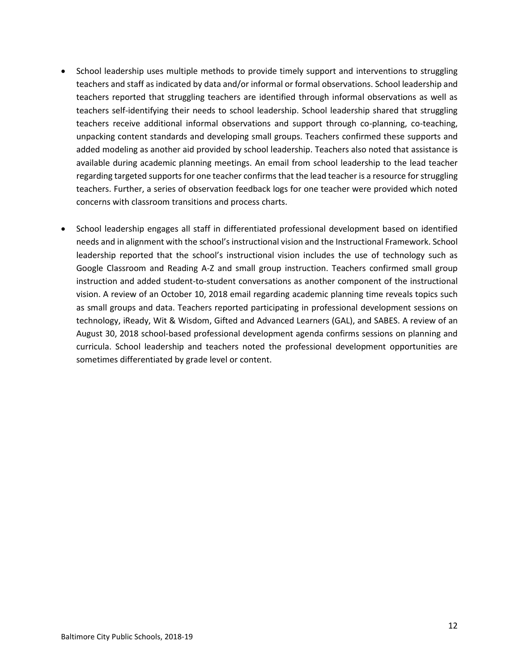- School leadership uses multiple methods to provide timely support and interventions to struggling teachers and staff as indicated by data and/or informal or formal observations. School leadership and teachers reported that struggling teachers are identified through informal observations as well as teachers self-identifying their needs to school leadership. School leadership shared that struggling teachers receive additional informal observations and support through co-planning, co-teaching, unpacking content standards and developing small groups. Teachers confirmed these supports and added modeling as another aid provided by school leadership. Teachers also noted that assistance is available during academic planning meetings. An email from school leadership to the lead teacher regarding targeted supports for one teacher confirms that the lead teacher is a resource for struggling teachers. Further, a series of observation feedback logs for one teacher were provided which noted concerns with classroom transitions and process charts.
- School leadership engages all staff in differentiated professional development based on identified needs and in alignment with the school's instructional vision and the Instructional Framework. School leadership reported that the school's instructional vision includes the use of technology such as Google Classroom and Reading A-Z and small group instruction. Teachers confirmed small group instruction and added student-to-student conversations as another component of the instructional vision. A review of an October 10, 2018 email regarding academic planning time reveals topics such as small groups and data. Teachers reported participating in professional development sessions on technology, iReady, Wit & Wisdom, Gifted and Advanced Learners (GAL), and SABES. A review of an August 30, 2018 school-based professional development agenda confirms sessions on planning and curricula. School leadership and teachers noted the professional development opportunities are sometimes differentiated by grade level or content.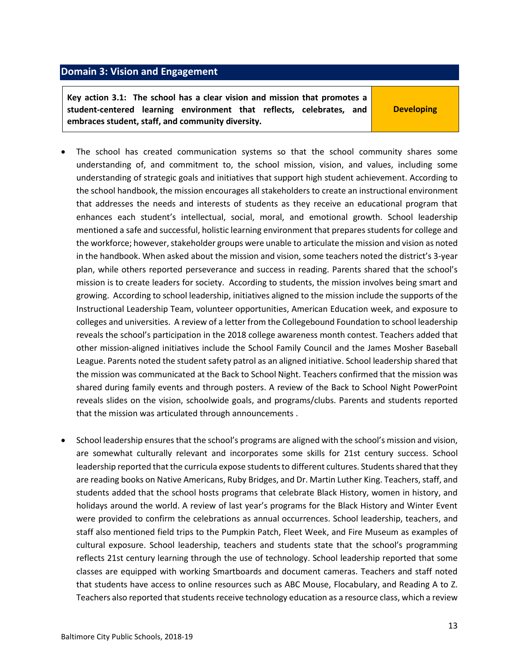## <span id="page-12-0"></span>**Domain 3: Vision and Engagement**

**Key action 3.1: The school has a clear vision and mission that promotes a student-centered learning environment that reflects, celebrates, and embraces student, staff, and community diversity.**

**Developing**

- The school has created communication systems so that the school community shares some understanding of, and commitment to, the school mission, vision, and values, including some understanding of strategic goals and initiatives that support high student achievement. According to the school handbook, the mission encourages all stakeholders to create an instructional environment that addresses the needs and interests of students as they receive an educational program that enhances each student's intellectual, social, moral, and emotional growth. School leadership mentioned a safe and successful, holistic learning environment that prepares students for college and the workforce; however, stakeholder groups were unable to articulate the mission and vision as noted in the handbook. When asked about the mission and vision, some teachers noted the district's 3-year plan, while others reported perseverance and success in reading. Parents shared that the school's mission is to create leaders for society. According to students, the mission involves being smart and growing. According to school leadership, initiatives aligned to the mission include the supports of the Instructional Leadership Team, volunteer opportunities, American Education week, and exposure to colleges and universities. A review of a letter from the Collegebound Foundation to school leadership reveals the school's participation in the 2018 college awareness month contest. Teachers added that other mission-aligned initiatives include the School Family Council and the James Mosher Baseball League. Parents noted the student safety patrol as an aligned initiative. School leadership shared that the mission was communicated at the Back to School Night. Teachers confirmed that the mission was shared during family events and through posters. A review of the Back to School Night PowerPoint reveals slides on the vision, schoolwide goals, and programs/clubs. Parents and students reported that the mission was articulated through announcements .
- School leadership ensures that the school's programs are aligned with the school's mission and vision, are somewhat culturally relevant and incorporates some skills for 21st century success. School leadership reported that the curricula expose students to different cultures. Students shared that they are reading books on Native Americans, Ruby Bridges, and Dr. Martin Luther King. Teachers, staff, and students added that the school hosts programs that celebrate Black History, women in history, and holidays around the world. A review of last year's programs for the Black History and Winter Event were provided to confirm the celebrations as annual occurrences. School leadership, teachers, and staff also mentioned field trips to the Pumpkin Patch, Fleet Week, and Fire Museum as examples of cultural exposure. School leadership, teachers and students state that the school's programming reflects 21st century learning through the use of technology. School leadership reported that some classes are equipped with working Smartboards and document cameras. Teachers and staff noted that students have access to online resources such as ABC Mouse, Flocabulary, and Reading A to Z. Teachers also reported that students receive technology education as a resource class, which a review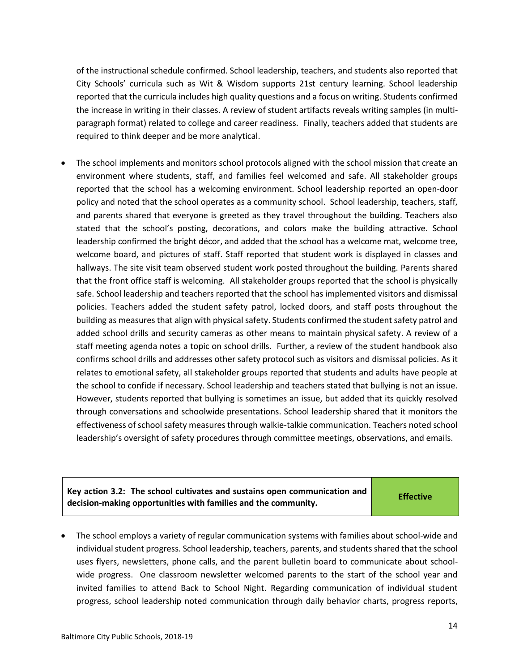of the instructional schedule confirmed. School leadership, teachers, and students also reported that City Schools' curricula such as Wit & Wisdom supports 21st century learning. School leadership reported that the curricula includes high quality questions and a focus on writing. Students confirmed the increase in writing in their classes. A review of student artifacts reveals writing samples (in multiparagraph format) related to college and career readiness. Finally, teachers added that students are required to think deeper and be more analytical.

The school implements and monitors school protocols aligned with the school mission that create an environment where students, staff, and families feel welcomed and safe. All stakeholder groups reported that the school has a welcoming environment. School leadership reported an open-door policy and noted that the school operates as a community school. School leadership, teachers, staff, and parents shared that everyone is greeted as they travel throughout the building. Teachers also stated that the school's posting, decorations, and colors make the building attractive. School leadership confirmed the bright décor, and added that the school has a welcome mat, welcome tree, welcome board, and pictures of staff. Staff reported that student work is displayed in classes and hallways. The site visit team observed student work posted throughout the building. Parents shared that the front office staff is welcoming. All stakeholder groups reported that the school is physically safe. School leadership and teachers reported that the school has implemented visitors and dismissal policies. Teachers added the student safety patrol, locked doors, and staff posts throughout the building as measures that align with physical safety. Students confirmed the student safety patrol and added school drills and security cameras as other means to maintain physical safety. A review of a staff meeting agenda notes a topic on school drills. Further, a review of the student handbook also confirms school drills and addresses other safety protocol such as visitors and dismissal policies. As it relates to emotional safety, all stakeholder groups reported that students and adults have people at the school to confide if necessary. School leadership and teachers stated that bullying is not an issue. However, students reported that bullying is sometimes an issue, but added that its quickly resolved through conversations and schoolwide presentations. School leadership shared that it monitors the effectiveness of school safety measures through walkie-talkie communication. Teachers noted school leadership's oversight of safety procedures through committee meetings, observations, and emails.

**Key action 3.2: The school cultivates and sustains open communication and decision-making opportunities with families and the community.**

**Effective**

• The school employs a variety of regular communication systems with families about school-wide and individual student progress. School leadership, teachers, parents, and students shared that the school uses flyers, newsletters, phone calls, and the parent bulletin board to communicate about schoolwide progress. One classroom newsletter welcomed parents to the start of the school year and invited families to attend Back to School Night. Regarding communication of individual student progress, school leadership noted communication through daily behavior charts, progress reports,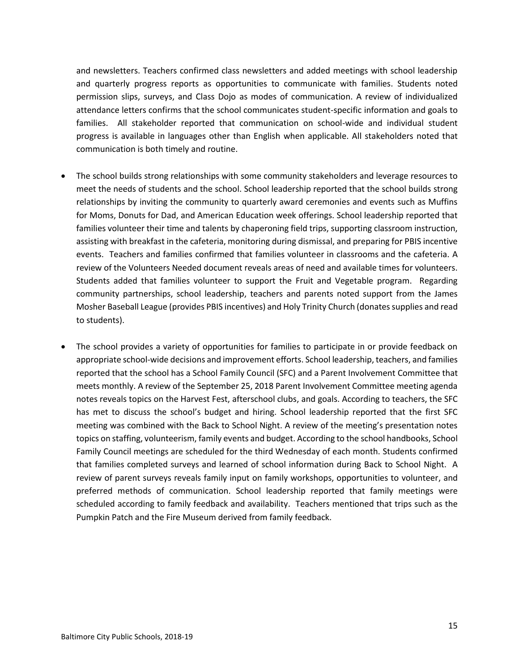and newsletters. Teachers confirmed class newsletters and added meetings with school leadership and quarterly progress reports as opportunities to communicate with families. Students noted permission slips, surveys, and Class Dojo as modes of communication. A review of individualized attendance letters confirms that the school communicates student-specific information and goals to families. All stakeholder reported that communication on school-wide and individual student progress is available in languages other than English when applicable. All stakeholders noted that communication is both timely and routine.

- The school builds strong relationships with some community stakeholders and leverage resources to meet the needs of students and the school. School leadership reported that the school builds strong relationships by inviting the community to quarterly award ceremonies and events such as Muffins for Moms, Donuts for Dad, and American Education week offerings. School leadership reported that families volunteer their time and talents by chaperoning field trips, supporting classroom instruction, assisting with breakfast in the cafeteria, monitoring during dismissal, and preparing for PBIS incentive events. Teachers and families confirmed that families volunteer in classrooms and the cafeteria. A review of the Volunteers Needed document reveals areas of need and available times for volunteers. Students added that families volunteer to support the Fruit and Vegetable program. Regarding community partnerships, school leadership, teachers and parents noted support from the James Mosher Baseball League (provides PBIS incentives) and Holy Trinity Church (donates supplies and read to students).
- The school provides a variety of opportunities for families to participate in or provide feedback on appropriate school-wide decisions and improvement efforts. School leadership, teachers, and families reported that the school has a School Family Council (SFC) and a Parent Involvement Committee that meets monthly. A review of the September 25, 2018 Parent Involvement Committee meeting agenda notes reveals topics on the Harvest Fest, afterschool clubs, and goals. According to teachers, the SFC has met to discuss the school's budget and hiring. School leadership reported that the first SFC meeting was combined with the Back to School Night. A review of the meeting's presentation notes topics on staffing, volunteerism, family events and budget. According to the school handbooks, School Family Council meetings are scheduled for the third Wednesday of each month. Students confirmed that families completed surveys and learned of school information during Back to School Night. A review of parent surveys reveals family input on family workshops, opportunities to volunteer, and preferred methods of communication. School leadership reported that family meetings were scheduled according to family feedback and availability. Teachers mentioned that trips such as the Pumpkin Patch and the Fire Museum derived from family feedback.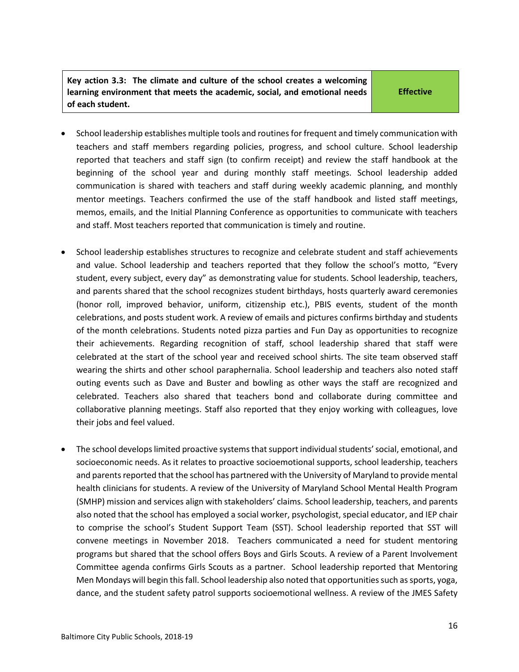**Key action 3.3: The climate and culture of the school creates a welcoming learning environment that meets the academic, social, and emotional needs of each student.** 

**Effective**

- School leadership establishes multiple tools and routines for frequent and timely communication with teachers and staff members regarding policies, progress, and school culture. School leadership reported that teachers and staff sign (to confirm receipt) and review the staff handbook at the beginning of the school year and during monthly staff meetings. School leadership added communication is shared with teachers and staff during weekly academic planning, and monthly mentor meetings. Teachers confirmed the use of the staff handbook and listed staff meetings, memos, emails, and the Initial Planning Conference as opportunities to communicate with teachers and staff. Most teachers reported that communication is timely and routine.
- School leadership establishes structures to recognize and celebrate student and staff achievements and value. School leadership and teachers reported that they follow the school's motto, "Every student, every subject, every day" as demonstrating value for students. School leadership, teachers, and parents shared that the school recognizes student birthdays, hosts quarterly award ceremonies (honor roll, improved behavior, uniform, citizenship etc.), PBIS events, student of the month celebrations, and posts student work. A review of emails and pictures confirms birthday and students of the month celebrations. Students noted pizza parties and Fun Day as opportunities to recognize their achievements. Regarding recognition of staff, school leadership shared that staff were celebrated at the start of the school year and received school shirts. The site team observed staff wearing the shirts and other school paraphernalia. School leadership and teachers also noted staff outing events such as Dave and Buster and bowling as other ways the staff are recognized and celebrated. Teachers also shared that teachers bond and collaborate during committee and collaborative planning meetings. Staff also reported that they enjoy working with colleagues, love their jobs and feel valued.
- The school develops limited proactive systems that support individual students' social, emotional, and socioeconomic needs. As it relates to proactive socioemotional supports, school leadership, teachers and parents reported that the school has partnered with the University of Maryland to provide mental health clinicians for students. A review of the University of Maryland School Mental Health Program (SMHP) mission and services align with stakeholders' claims. School leadership, teachers, and parents also noted that the school has employed a social worker, psychologist, special educator, and IEP chair to comprise the school's Student Support Team (SST). School leadership reported that SST will convene meetings in November 2018. Teachers communicated a need for student mentoring programs but shared that the school offers Boys and Girls Scouts. A review of a Parent Involvement Committee agenda confirms Girls Scouts as a partner. School leadership reported that Mentoring Men Mondays will begin this fall. School leadership also noted that opportunities such as sports, yoga, dance, and the student safety patrol supports socioemotional wellness. A review of the JMES Safety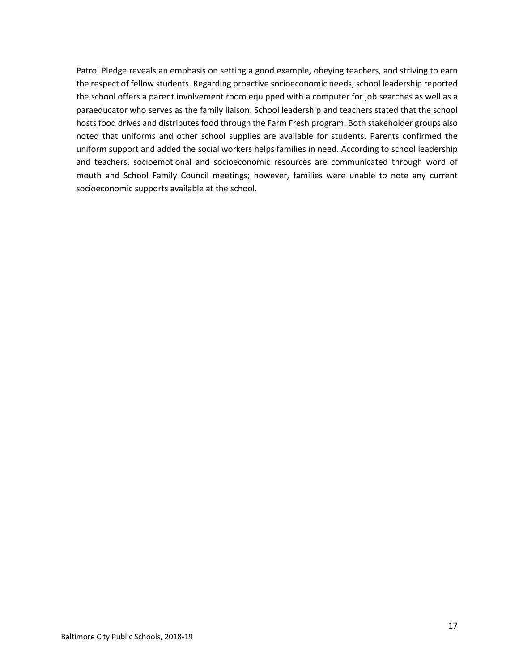<span id="page-16-0"></span>Patrol Pledge reveals an emphasis on setting a good example, obeying teachers, and striving to earn the respect of fellow students. Regarding proactive socioeconomic needs, school leadership reported the school offers a parent involvement room equipped with a computer for job searches as well as a paraeducator who serves as the family liaison. School leadership and teachers stated that the school hosts food drives and distributes food through the Farm Fresh program. Both stakeholder groups also noted that uniforms and other school supplies are available for students. Parents confirmed the uniform support and added the social workers helps families in need. According to school leadership and teachers, socioemotional and socioeconomic resources are communicated through word of mouth and School Family Council meetings; however, families were unable to note any current socioeconomic supports available at the school.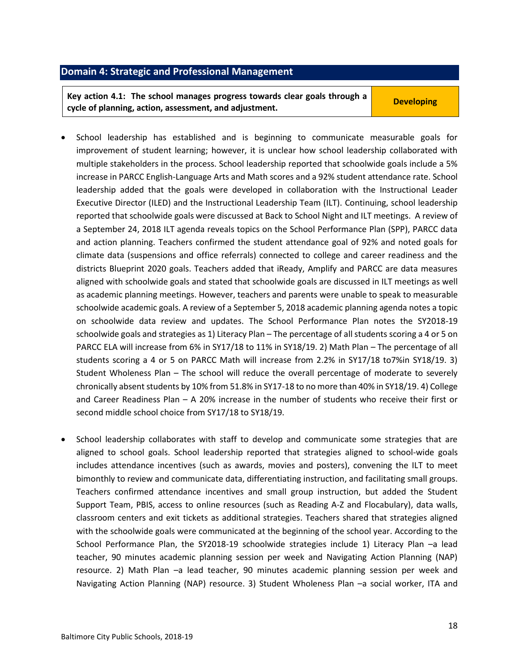#### **Domain 4: Strategic and Professional Management**

**Key action 4.1: The school manages progress towards clear goals through a cycle of planning, action, assessment, and adjustment. Cycle of planning, action, assessment, and adjustment.** 

- School leadership has established and is beginning to communicate measurable goals for improvement of student learning; however, it is unclear how school leadership collaborated with multiple stakeholders in the process. School leadership reported that schoolwide goals include a 5% increase in PARCC English-Language Arts and Math scores and a 92% student attendance rate. School leadership added that the goals were developed in collaboration with the Instructional Leader Executive Director (ILED) and the Instructional Leadership Team (ILT). Continuing, school leadership reported that schoolwide goals were discussed at Back to School Night and ILT meetings. A review of a September 24, 2018 ILT agenda reveals topics on the School Performance Plan (SPP), PARCC data and action planning. Teachers confirmed the student attendance goal of 92% and noted goals for climate data (suspensions and office referrals) connected to college and career readiness and the districts Blueprint 2020 goals. Teachers added that iReady, Amplify and PARCC are data measures aligned with schoolwide goals and stated that schoolwide goals are discussed in ILT meetings as well as academic planning meetings. However, teachers and parents were unable to speak to measurable schoolwide academic goals. A review of a September 5, 2018 academic planning agenda notes a topic on schoolwide data review and updates. The School Performance Plan notes the SY2018-19 schoolwide goals and strategies as 1) Literacy Plan – The percentage of all students scoring a 4 or 5 on PARCC ELA will increase from 6% in SY17/18 to 11% in SY18/19. 2) Math Plan – The percentage of all students scoring a 4 or 5 on PARCC Math will increase from 2.2% in SY17/18 to7%in SY18/19. 3) Student Wholeness Plan – The school will reduce the overall percentage of moderate to severely chronically absent students by 10% from 51.8% in SY17-18 to no more than 40% in SY18/19. 4) College and Career Readiness Plan – A 20% increase in the number of students who receive their first or second middle school choice from SY17/18 to SY18/19.
- School leadership collaborates with staff to develop and communicate some strategies that are aligned to school goals. School leadership reported that strategies aligned to school-wide goals includes attendance incentives (such as awards, movies and posters), convening the ILT to meet bimonthly to review and communicate data, differentiating instruction, and facilitating small groups. Teachers confirmed attendance incentives and small group instruction, but added the Student Support Team, PBIS, access to online resources (such as Reading A-Z and Flocabulary), data walls, classroom centers and exit tickets as additional strategies. Teachers shared that strategies aligned with the schoolwide goals were communicated at the beginning of the school year. According to the School Performance Plan, the SY2018-19 schoolwide strategies include 1) Literacy Plan –a lead teacher, 90 minutes academic planning session per week and Navigating Action Planning (NAP) resource. 2) Math Plan –a lead teacher, 90 minutes academic planning session per week and Navigating Action Planning (NAP) resource. 3) Student Wholeness Plan -a social worker, ITA and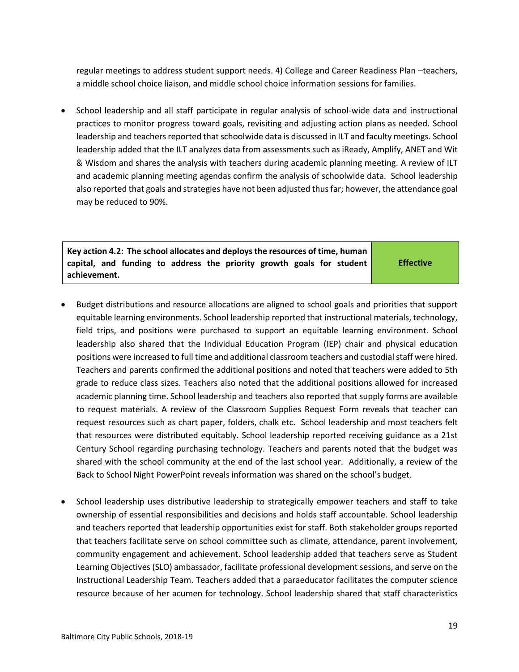regular meetings to address student support needs. 4) College and Career Readiness Plan –teachers, a middle school choice liaison, and middle school choice information sessions for families.

• School leadership and all staff participate in regular analysis of school-wide data and instructional practices to monitor progress toward goals, revisiting and adjusting action plans as needed. School leadership and teachers reported that schoolwide data is discussed in ILT and faculty meetings. School leadership added that the ILT analyzes data from assessments such as iReady, Amplify, ANET and Wit & Wisdom and shares the analysis with teachers during academic planning meeting. A review of ILT and academic planning meeting agendas confirm the analysis of schoolwide data. School leadership also reported that goals and strategies have not been adjusted thus far; however, the attendance goal may be reduced to 90%.

**Key action 4.2: The school allocates and deploys the resources of time, human capital, and funding to address the priority growth goals for student achievement.**

**Effective**

- Budget distributions and resource allocations are aligned to school goals and priorities that support equitable learning environments. School leadership reported that instructional materials, technology, field trips, and positions were purchased to support an equitable learning environment. School leadership also shared that the Individual Education Program (IEP) chair and physical education positions were increased to full time and additional classroom teachers and custodial staff were hired. Teachers and parents confirmed the additional positions and noted that teachers were added to 5th grade to reduce class sizes. Teachers also noted that the additional positions allowed for increased academic planning time. School leadership and teachers also reported that supply forms are available to request materials. A review of the Classroom Supplies Request Form reveals that teacher can request resources such as chart paper, folders, chalk etc. School leadership and most teachers felt that resources were distributed equitably. School leadership reported receiving guidance as a 21st Century School regarding purchasing technology. Teachers and parents noted that the budget was shared with the school community at the end of the last school year. Additionally, a review of the Back to School Night PowerPoint reveals information was shared on the school's budget.
- School leadership uses distributive leadership to strategically empower teachers and staff to take ownership of essential responsibilities and decisions and holds staff accountable. School leadership and teachers reported that leadership opportunities exist for staff. Both stakeholder groups reported that teachers facilitate serve on school committee such as climate, attendance, parent involvement, community engagement and achievement. School leadership added that teachers serve as Student Learning Objectives (SLO) ambassador, facilitate professional development sessions, and serve on the Instructional Leadership Team. Teachers added that a paraeducator facilitates the computer science resource because of her acumen for technology. School leadership shared that staff characteristics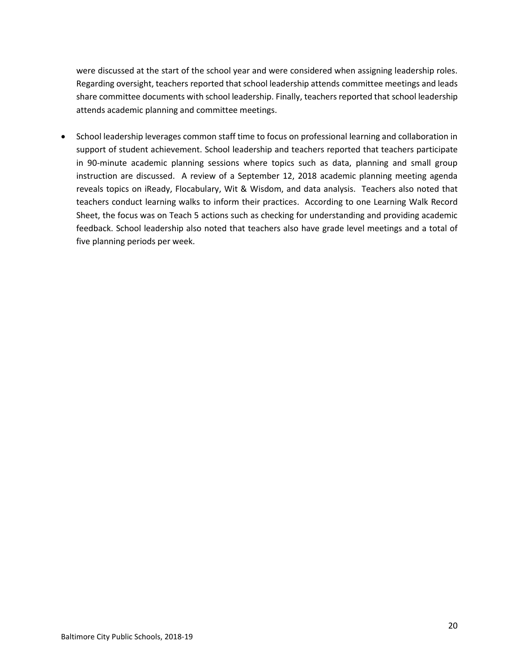were discussed at the start of the school year and were considered when assigning leadership roles. Regarding oversight, teachers reported that school leadership attends committee meetings and leads share committee documents with school leadership. Finally, teachers reported that school leadership attends academic planning and committee meetings.

<span id="page-19-0"></span>• School leadership leverages common staff time to focus on professional learning and collaboration in support of student achievement. School leadership and teachers reported that teachers participate in 90-minute academic planning sessions where topics such as data, planning and small group instruction are discussed. A review of a September 12, 2018 academic planning meeting agenda reveals topics on iReady, Flocabulary, Wit & Wisdom, and data analysis. Teachers also noted that teachers conduct learning walks to inform their practices. According to one Learning Walk Record Sheet, the focus was on Teach 5 actions such as checking for understanding and providing academic feedback. School leadership also noted that teachers also have grade level meetings and a total of five planning periods per week.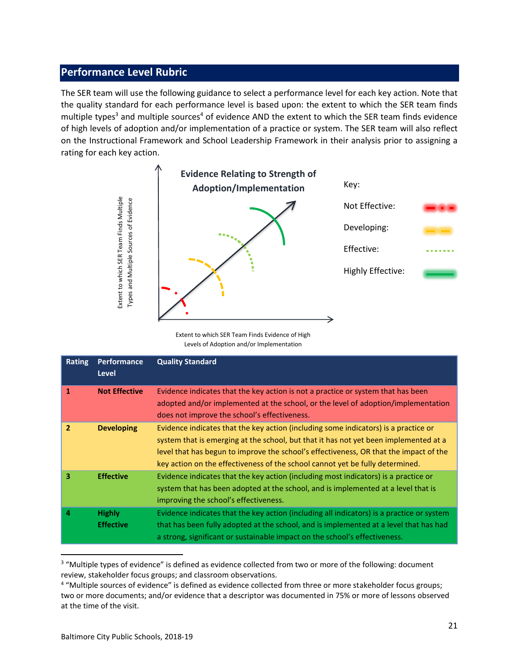## **Performance Level Rubric**

The SER team will use the following guidance to select a performance level for each key action. Note that the quality standard for each performance level is based upon: the extent to which the SER team finds multiple types<sup>3</sup> and multiple sources<sup>4</sup> of evidence AND the extent to which the SER team finds evidence of high levels of adoption and/or implementation of a practice or system. The SER team will also reflect on the Instructional Framework and School Leadership Framework in their analysis prior to assigning a rating for each key action.



|               | Extent to which SER Team Finds Multiple<br>Types and Multiple Sources of Evidence | Extent to which SER Team Finds Evidence of High<br>Levels of Adoption and/or Implementation                                                                                                                                                                                                                                                                                                                                        | Not Effective:<br>Developing:<br>Effective:<br>Highly Effective: |  |
|---------------|-----------------------------------------------------------------------------------|------------------------------------------------------------------------------------------------------------------------------------------------------------------------------------------------------------------------------------------------------------------------------------------------------------------------------------------------------------------------------------------------------------------------------------|------------------------------------------------------------------|--|
| <b>Rating</b> | <b>Performance</b><br><b>Level</b>                                                | <b>Quality Standard</b>                                                                                                                                                                                                                                                                                                                                                                                                            |                                                                  |  |
| $\mathbf{1}$  | <b>Not Effective</b>                                                              | Evidence indicates that the key action is not a practice or system that has been<br>adopted and/or implemented at the school, or the level of adoption/implementation<br>does not improve the school's effectiveness.                                                                                                                                                                                                              |                                                                  |  |
| $\mathbf{2}$  | <b>Developing</b>                                                                 | Evidence indicates that the key action (including some indicators) is a practice or<br>system that is emerging at the school, but that it has not yet been implemented at a<br>level that has begun to improve the school's effectiveness, OR that the impact of the<br>key action on the effectiveness of the school cannot yet be fully determined.                                                                              |                                                                  |  |
| 3             | <b>Effective</b>                                                                  | Evidence indicates that the key action (including most indicators) is a practice or<br>system that has been adopted at the school, and is implemented at a level that is<br>improving the school's effectiveness.                                                                                                                                                                                                                  |                                                                  |  |
| 4             | <b>Highly</b><br><b>Effective</b>                                                 | Evidence indicates that the key action (including all indicators) is a practice or system<br>that has been fully adopted at the school, and is implemented at a level that has had<br>a strong, significant or sustainable impact on the school's effectiveness.                                                                                                                                                                   |                                                                  |  |
|               | at the time of the visit.                                                         | <sup>3</sup> "Multiple types of evidence" is defined as evidence collected from two or more of the following: document<br>review, stakeholder focus groups; and classroom observations.<br><sup>4</sup> "Multiple sources of evidence" is defined as evidence collected from three or more stakeholder focus groups;<br>two or more documents; and/or evidence that a descriptor was documented in 75% or more of lessons observed |                                                                  |  |

<sup>&</sup>lt;sup>3</sup> "Multiple types of evidence" is defined as evidence collected from two or more of the following: document review, stakeholder focus groups; and classroom observations.

<sup>4</sup> "Multiple sources of evidence" is defined as evidence collected from three or more stakeholder focus groups; two or more documents; and/or evidence that a descriptor was documented in 75% or more of lessons observed at the time of the visit.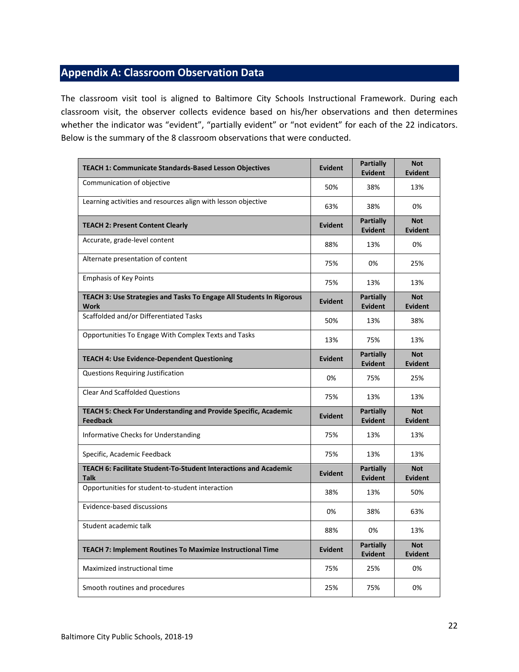# <span id="page-21-0"></span>**Appendix A: Classroom Observation Data**

The classroom visit tool is aligned to Baltimore City Schools Instructional Framework. During each classroom visit, the observer collects evidence based on his/her observations and then determines whether the indicator was "evident", "partially evident" or "not evident" for each of the 22 indicators. Below is the summary of the 8 classroom observations that were conducted.

| <b>TEACH 1: Communicate Standards-Based Lesson Objectives</b>                      | <b>Evident</b> | Partially<br><b>Evident</b>        | <b>Not</b><br><b>Evident</b> |
|------------------------------------------------------------------------------------|----------------|------------------------------------|------------------------------|
| Communication of objective                                                         | 50%            | 38%                                | 13%                          |
| Learning activities and resources align with lesson objective                      | 63%            | 38%                                | 0%                           |
| <b>TEACH 2: Present Content Clearly</b>                                            | <b>Evident</b> | <b>Partially</b><br><b>Evident</b> | <b>Not</b><br><b>Evident</b> |
| Accurate, grade-level content                                                      | 88%            | 13%                                | 0%                           |
| Alternate presentation of content                                                  | 75%            | 0%                                 | 25%                          |
| <b>Emphasis of Key Points</b>                                                      | 75%            | 13%                                | 13%                          |
| TEACH 3: Use Strategies and Tasks To Engage All Students In Rigorous<br>Work       | Evident        | <b>Partially</b><br><b>Evident</b> | <b>Not</b><br><b>Evident</b> |
| Scaffolded and/or Differentiated Tasks                                             | 50%            | 13%                                | 38%                          |
| Opportunities To Engage With Complex Texts and Tasks                               | 13%            | 75%                                | 13%                          |
| <b>TEACH 4: Use Evidence-Dependent Questioning</b>                                 | Evident        | <b>Partially</b><br><b>Evident</b> | <b>Not</b><br><b>Evident</b> |
| <b>Questions Requiring Justification</b>                                           | 0%             | 75%                                | 25%                          |
| <b>Clear And Scaffolded Questions</b>                                              | 75%            | 13%                                | 13%                          |
| TEACH 5: Check For Understanding and Provide Specific, Academic<br><b>Feedback</b> | <b>Evident</b> | <b>Partially</b><br><b>Evident</b> | <b>Not</b><br><b>Evident</b> |
| Informative Checks for Understanding                                               | 75%            | 13%                                | 13%                          |
| Specific, Academic Feedback                                                        | 75%            | 13%                                | 13%                          |
| TEACH 6: Facilitate Student-To-Student Interactions and Academic<br><b>Talk</b>    | Evident        | <b>Partially</b><br><b>Evident</b> | <b>Not</b><br><b>Evident</b> |
| Opportunities for student-to-student interaction                                   | 38%            | 13%                                | 50%                          |
| Evidence-based discussions                                                         | 0%             | 38%                                | 63%                          |
| Student academic talk                                                              | 88%            | 0%                                 | 13%                          |
| <b>TEACH 7: Implement Routines To Maximize Instructional Time</b>                  | Evident        | <b>Partially</b><br><b>Evident</b> | <b>Not</b><br><b>Evident</b> |
| Maximized instructional time                                                       | 75%            | 25%                                | 0%                           |
| Smooth routines and procedures                                                     | 25%            | 75%                                | 0%                           |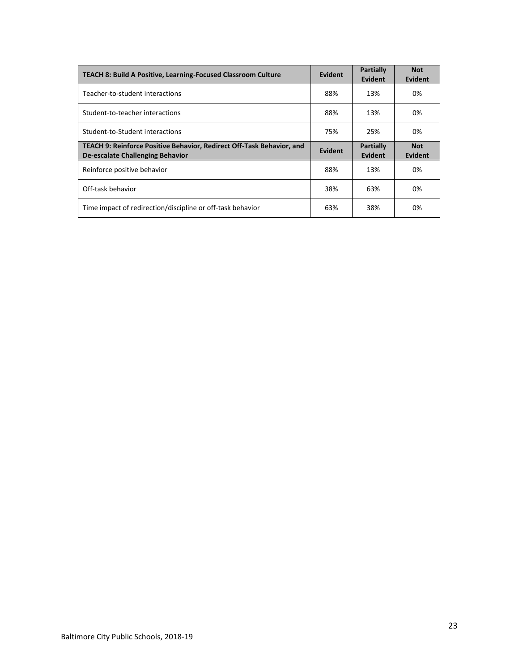| <b>TEACH 8: Build A Positive, Learning-Focused Classroom Culture</b>                                      | Evident        | <b>Partially</b><br><b>Evident</b> | <b>Not</b><br>Evident |
|-----------------------------------------------------------------------------------------------------------|----------------|------------------------------------|-----------------------|
| Teacher-to-student interactions                                                                           | 88%            | 13%                                | 0%                    |
| Student-to-teacher interactions                                                                           | 88%            | 13%                                | 0%                    |
| Student-to-Student interactions                                                                           | 75%            | 25%                                | 0%                    |
| TEACH 9: Reinforce Positive Behavior, Redirect Off-Task Behavior, and<br>De-escalate Challenging Behavior | <b>Evident</b> | <b>Partially</b><br>Evident        | <b>Not</b><br>Evident |
| Reinforce positive behavior                                                                               |                |                                    |                       |
|                                                                                                           | 88%            | 13%                                | 0%                    |
| Off-task behavior                                                                                         | 38%            | 63%                                | 0%                    |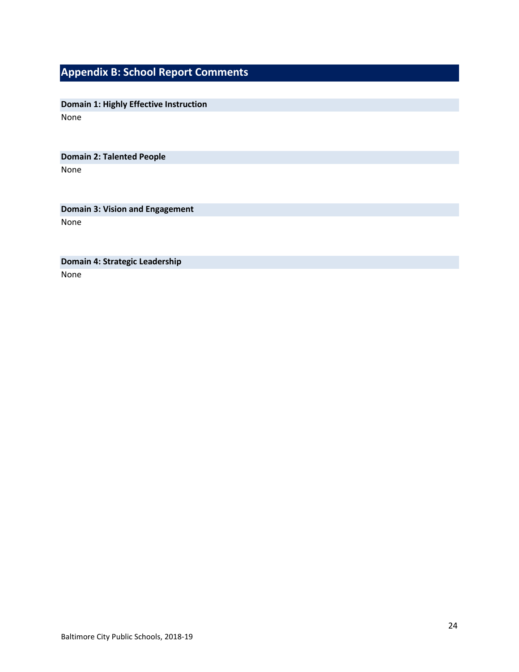# <span id="page-23-0"></span>**Appendix B: School Report Comments**

**Domain 1: Highly Effective Instruction** None

**Domain 2: Talented People**

None

**Domain 3: Vision and Engagement**

None

**Domain 4: Strategic Leadership**

None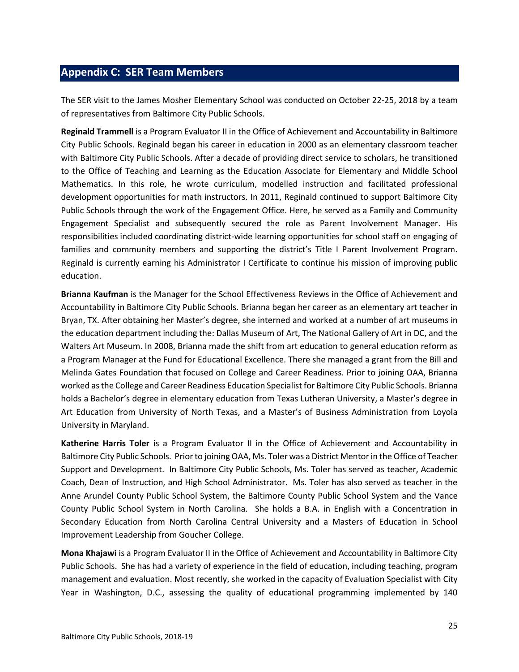## <span id="page-24-0"></span>**Appendix C: SER Team Members**

The SER visit to the James Mosher Elementary School was conducted on October 22-25, 2018 by a team of representatives from Baltimore City Public Schools.

**Reginald Trammell** is a Program Evaluator II in the Office of Achievement and Accountability in Baltimore City Public Schools. Reginald began his career in education in 2000 as an elementary classroom teacher with Baltimore City Public Schools. After a decade of providing direct service to scholars, he transitioned to the Office of Teaching and Learning as the Education Associate for Elementary and Middle School Mathematics. In this role, he wrote curriculum, modelled instruction and facilitated professional development opportunities for math instructors. In 2011, Reginald continued to support Baltimore City Public Schools through the work of the Engagement Office. Here, he served as a Family and Community Engagement Specialist and subsequently secured the role as Parent Involvement Manager. His responsibilities included coordinating district-wide learning opportunities for school staff on engaging of families and community members and supporting the district's Title I Parent Involvement Program. Reginald is currently earning his Administrator I Certificate to continue his mission of improving public education.

**Brianna Kaufman** is the Manager for the School Effectiveness Reviews in the Office of Achievement and Accountability in Baltimore City Public Schools. Brianna began her career as an elementary art teacher in Bryan, TX. After obtaining her Master's degree, she interned and worked at a number of art museums in the education department including the: Dallas Museum of Art, The National Gallery of Art in DC, and the Walters Art Museum. In 2008, Brianna made the shift from art education to general education reform as a Program Manager at the Fund for Educational Excellence. There she managed a grant from the Bill and Melinda Gates Foundation that focused on College and Career Readiness. Prior to joining OAA, Brianna worked as the College and Career Readiness Education Specialist for Baltimore City Public Schools. Brianna holds a Bachelor's degree in elementary education from Texas Lutheran University, a Master's degree in Art Education from University of North Texas, and a Master's of Business Administration from Loyola University in Maryland.

**Katherine Harris Toler** is a Program Evaluator II in the Office of Achievement and Accountability in Baltimore City Public Schools. Prior to joining OAA, Ms. Toler was a District Mentor in the Office of Teacher Support and Development. In Baltimore City Public Schools, Ms. Toler has served as teacher, Academic Coach, Dean of Instruction, and High School Administrator. Ms. Toler has also served as teacher in the Anne Arundel County Public School System, the Baltimore County Public School System and the Vance County Public School System in North Carolina. She holds a B.A. in English with a Concentration in Secondary Education from North Carolina Central University and a Masters of Education in School Improvement Leadership from Goucher College.

**Mona Khajawi** is a Program Evaluator II in the Office of Achievement and Accountability in Baltimore City Public Schools. She has had a variety of experience in the field of education, including teaching, program management and evaluation. Most recently, she worked in the capacity of Evaluation Specialist with City Year in Washington, D.C., assessing the quality of educational programming implemented by 140